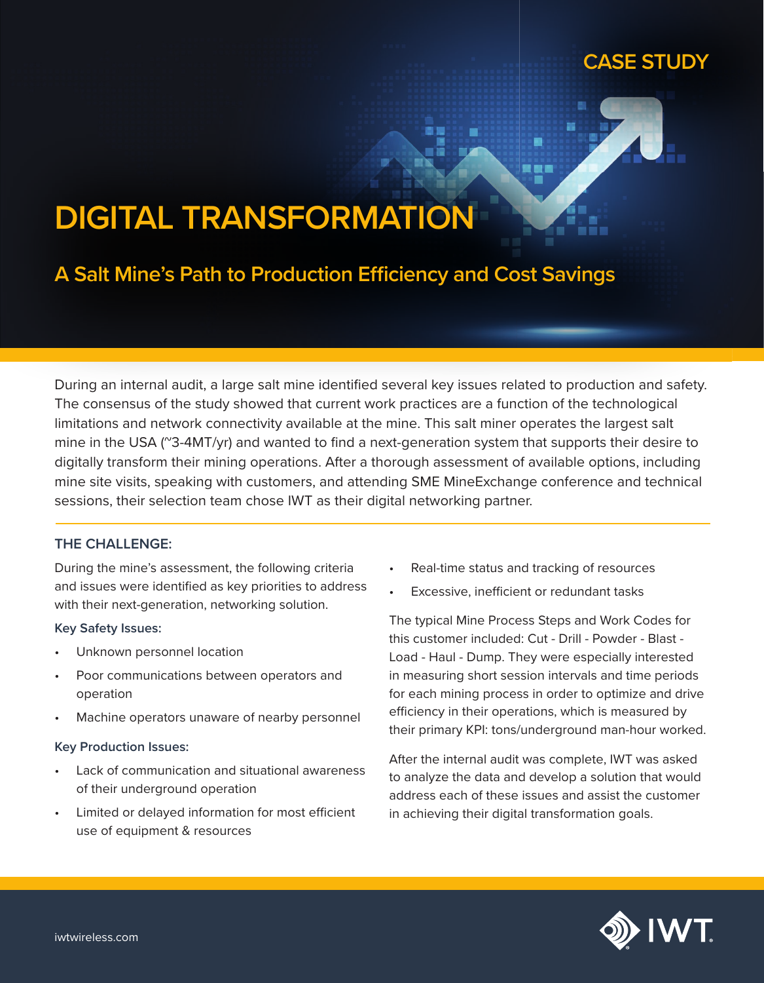# **CASE STUDY**



# **A Salt Mine's Path to Production Efficiency and Cost Savings**

During an internal audit, a large salt mine identified several key issues related to production and safety. The consensus of the study showed that current work practices are a function of the technological limitations and network connectivity available at the mine. This salt miner operates the largest salt mine in the USA (~3-4MT/yr) and wanted to find a next-generation system that supports their desire to digitally transform their mining operations. After a thorough assessment of available options, including mine site visits, speaking with customers, and attending SME MineExchange conference and technical sessions, their selection team chose IWT as their digital networking partner.

## **THE CHALLENGE:**

During the mine's assessment, the following criteria and issues were identified as key priorities to address with their next-generation, networking solution.

#### **Key Safety Issues:**

- Unknown personnel location
- Poor communications between operators and operation
- Machine operators unaware of nearby personnel

### **Key Production Issues:**

- Lack of communication and situational awareness of their underground operation
- Limited or delayed information for most efficient use of equipment & resources

Real-time status and tracking of resources

Ran

Excessive, inefficient or redundant tasks

The typical Mine Process Steps and Work Codes for this customer included: Cut - Drill - Powder - Blast - Load - Haul - Dump. They were especially interested in measuring short session intervals and time periods for each mining process in order to optimize and drive efficiency in their operations, which is measured by their primary KPI: tons/underground man-hour worked.

After the internal audit was complete, IWT was asked to analyze the data and develop a solution that would address each of these issues and assist the customer in achieving their digital transformation goals.